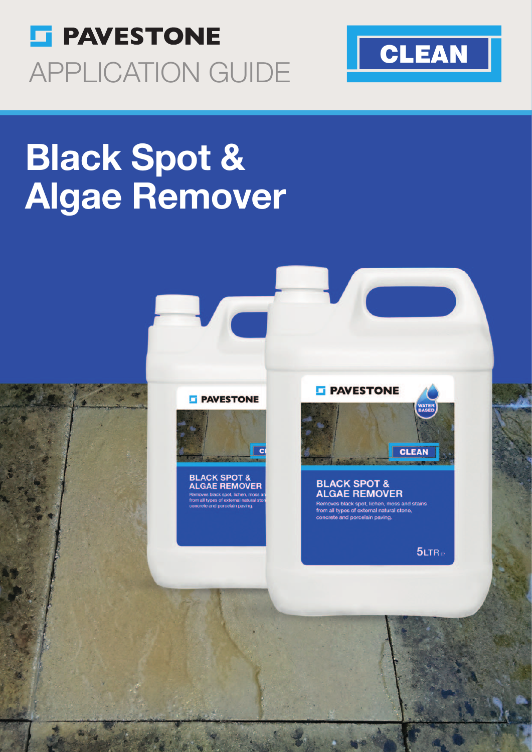



# **Black Spot &** Algae Remover





**BLACK SPOT &<br>ALGAE REMOVER** 

#### **F** PAVESTONE



#### **BLACK SPOT & ALGAE REMOVER**

-<br>
Permoves black spot, lichen, moss and stains<br>
from all types of external natural stone,<br>
concrete and porcelain paving.

 $5LTR<sub>e</sub>$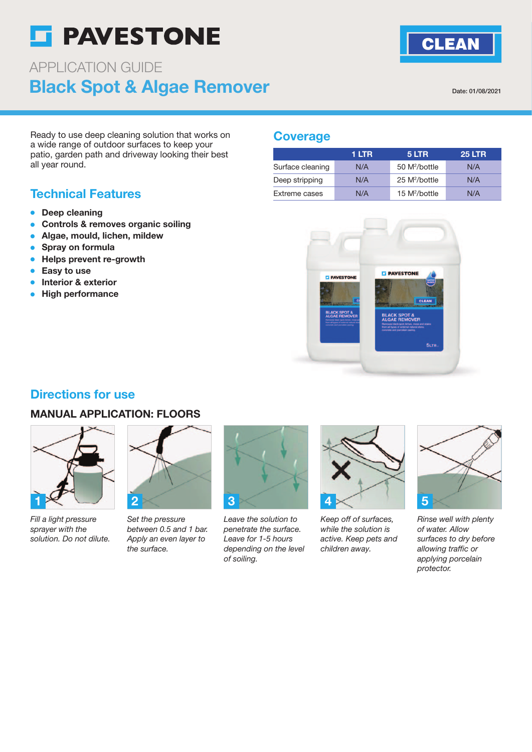## **S** PAVESTONE

### Black Spot & Algae Remover APPLICATION GUIDE

Date: 01/08/2021

**CLEAN** 

Ready to use deep cleaning solution that works on a wide range of outdoor surfaces to keep your patio, garden path and driveway looking their best all year round.

#### Technical Features

- Deep cleaning
- Controls & removes organic soiling
- Algae, mould, lichen, mildew
- Spray on formula
- Helps prevent re-growth
- Easy to use
- Interior & exterior
- **High performance**

#### **Coverage**

|                  | 1 LTR | 5 LTR                     | <b>25 LTR</b> |
|------------------|-------|---------------------------|---------------|
| Surface cleaning | N/A   | 50 M <sup>2</sup> /bottle | N/A           |
| Deep stripping   | N/A   | 25 M <sup>2</sup> /bottle | N/A           |
| Extreme cases    | N/A   | 15 $M^2/b$ ottle          | N/A           |



#### Directions for use

#### MANUAL APPLICATION: FLOORS



Fill a light pressure sprayer with the solution. Do not dilute.



Set the pressure between 0.5 and 1 bar. Apply an even layer to the surface.



Leave the solution to penetrate the surface. Leave for 1-5 hours depending on the level of soiling.



Keep off of surfaces, while the solution is active. Keep pets and children away.



Rinse well with plenty of water. Allow surfaces to dry before allowing traffic or applying porcelain protector.